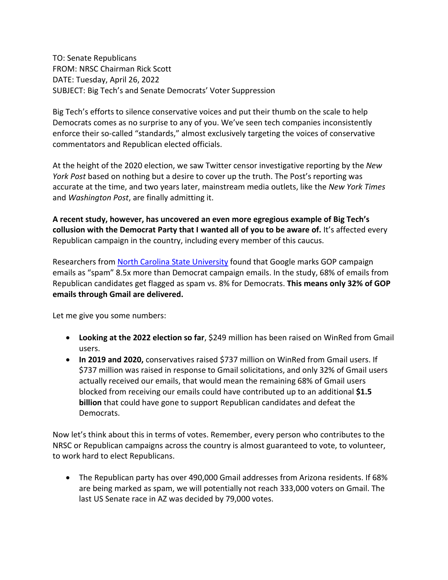TO: Senate Republicans FROM: NRSC Chairman Rick Scott DATE: Tuesday, April 26, 2022 SUBJECT: Big Tech's and Senate Democrats' Voter Suppression

Big Tech's efforts to silence conservative voices and put their thumb on the scale to help Democrats comes as no surprise to any of you. We've seen tech companies inconsistently enforce their so-called "standards," almost exclusively targeting the voices of conservative commentators and Republican elected officials.

At the height of the 2020 election, we saw Twitter censor investigative reporting by the *New York Post* based on nothing but a desire to cover up the truth. The Post's reporting was accurate at the time, and two years later, mainstream media outlets, like the *New York Times* and *Washington Post*, are finally admitting it.

**A recent study, however, has uncovered an even more egregious example of Big Tech's collusion with the Democrat Party that I wanted all of you to be aware of.** It's affected every Republican campaign in the country, including every member of this caucus.

Researchers from [North Carolina State University](https://arxiv.org/pdf/2203.16743.pdf) found that Google marks GOP campaign emails as "spam" 8.5x more than Democrat campaign emails. In the study, 68% of emails from Republican candidates get flagged as spam vs. 8% for Democrats. **This means only 32% of GOP emails through Gmail are delivered.**

Let me give you some numbers:

- **Looking at the 2022 election so far**, \$249 million has been raised on WinRed from Gmail users.
- **In 2019 and 2020,** conservatives raised \$737 million on WinRed from Gmail users. If \$737 million was raised in response to Gmail solicitations, and only 32% of Gmail users actually received our emails, that would mean the remaining 68% of Gmail users blocked from receiving our emails could have contributed up to an additional **\$1.5 billion** that could have gone to support Republican candidates and defeat the Democrats.

Now let's think about this in terms of votes. Remember, every person who contributes to the NRSC or Republican campaigns across the country is almost guaranteed to vote, to volunteer, to work hard to elect Republicans.

• The Republican party has over 490,000 Gmail addresses from Arizona residents. If 68% are being marked as spam, we will potentially not reach 333,000 voters on Gmail. The last US Senate race in AZ was decided by 79,000 votes.